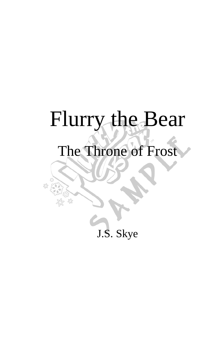# Flurry the Bear

## The Throne of Frost

£<sup>0</sup>

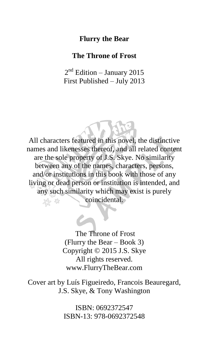#### **Flurry the Bear**

#### **The Throne of Frost**

2<sup>nd</sup> Edition – January 2015 First Published – July 2013

All characters featured in this novel, the distinctive names and likenesses thereof, and all related content are the sole property of J.S. Skye. No similarity between any of the names, characters, persons, and/or institutions in this book with those of any living or dead person or institution is intended, and any such similarity which may exist is purely coincidental.

> The Throne of Frost (Flurry the Bear – Book 3) Copyright © 2015 J.S. Skye All rights reserved. www.FlurryTheBear.com

Cover art by Luís Figueiredo, Francois Beauregard, J.S. Skye, & Tony Washington

> ISBN: 0692372547 ISBN-13: 978-0692372548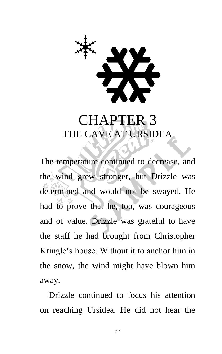

### CHAPTER 3 THE CAVE AT URSIDEA

The temperature continued to decrease, and the wind grew stronger, but Drizzle was determined and would not be swayed. He had to prove that he, too, was courageous and of value. Drizzle was grateful to have the staff he had brought from Christopher Kringle's house. Without it to anchor him in the snow, the wind might have blown him away.

Drizzle continued to focus his attention on reaching Ursidea. He did not hear the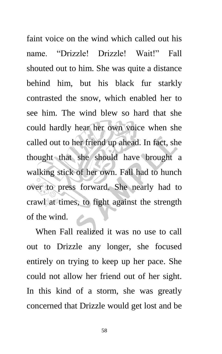faint voice on the wind which called out his name. "Drizzle! Drizzle! Wait!" Fall shouted out to him. She was quite a distance behind him, but his black fur starkly contrasted the snow, which enabled her to see him. The wind blew so hard that she could hardly hear her own voice when she called out to her friend up ahead. In fact, she thought that she should have brought a walking stick of her own. Fall had to hunch over to press forward. She nearly had to crawl at times, to fight against the strength of the wind.

When Fall realized it was no use to call out to Drizzle any longer, she focused entirely on trying to keep up her pace. She could not allow her friend out of her sight. In this kind of a storm, she was greatly concerned that Drizzle would get lost and be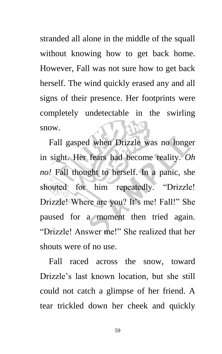stranded all alone in the middle of the squall without knowing how to get back home. However, Fall was not sure how to get back herself. The wind quickly erased any and all signs of their presence. Her footprints were completely undetectable in the swirling snow.

Fall gasped when Drizzle was no longer in sight. Her fears had become reality. *Oh no!* Fall thought to herself. In a panic, she shouted for him repeatedly. "Drizzle! Drizzle! Where are you? It's me! Fall!" She paused for a moment then tried again. "Drizzle! Answer me!" She realized that her shouts were of no use.

Fall raced across the snow, toward Drizzle's last known location, but she still could not catch a glimpse of her friend. A tear trickled down her cheek and quickly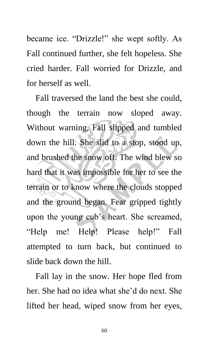became ice. "Drizzle!" she wept softly. As Fall continued further, she felt hopeless. She cried harder. Fall worried for Drizzle, and for herself as well.

Fall traversed the land the best she could, though the terrain now sloped away. Without warning, Fall slipped and tumbled down the hill. She slid to a stop, stood up, and brushed the snow off. The wind blew so hard that it was impossible for her to see the terrain or to know where the clouds stopped and the ground began. Fear gripped tightly upon the young cub's heart. She screamed, "Help me! Help! Please help!" Fall attempted to turn back, but continued to slide back down the hill.

Fall lay in the snow. Her hope fled from her. She had no idea what she'd do next. She lifted her head, wiped snow from her eyes,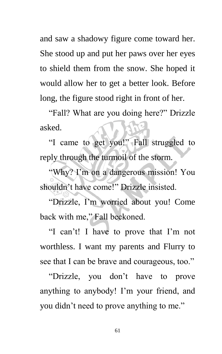and saw a shadowy figure come toward her. She stood up and put her paws over her eyes to shield them from the snow. She hoped it would allow her to get a better look. Before long, the figure stood right in front of her.

"Fall? What are you doing here?" Drizzle asked.

"I came to get you!" Fall struggled to reply through the turmoil of the storm.

"Why? I'm on a dangerous mission! You shouldn't have come!" Drizzle insisted.

"Drizzle, I'm worried about you! Come back with me," Fall beckoned.

"I can't! I have to prove that I'm not worthless. I want my parents and Flurry to see that I can be brave and courageous, too."

"Drizzle, you don't have to prove anything to anybody! I'm your friend, and you didn't need to prove anything to me."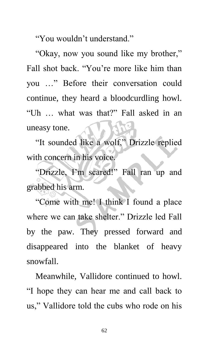"You wouldn't understand."

"Okay, now you sound like my brother," Fall shot back. "You're more like him than you …" Before their conversation could continue, they heard a bloodcurdling howl. "Uh … what was that?" Fall asked in an uneasy tone.

"It sounded like a wolf," Drizzle replied with concern in his voice.

"Drizzle, I'm scared!" Fall ran up and grabbed his arm.

"Come with me! I think I found a place where we can take shelter." Drizzle led Fall by the paw. They pressed forward and disappeared into the blanket of heavy snowfall.

Meanwhile, Vallidore continued to howl. "I hope they can hear me and call back to us," Vallidore told the cubs who rode on his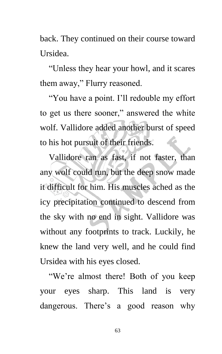back. They continued on their course toward Ursidea.

"Unless they hear your howl, and it scares them away," Flurry reasoned.

"You have a point. I'll redouble my effort to get us there sooner," answered the white wolf. Vallidore added another burst of speed to his hot pursuit of their friends.

Vallidore ran as fast, if not faster, than any wolf could run, but the deep snow made it difficult for him. His muscles ached as the icy precipitation continued to descend from the sky with no end in sight. Vallidore was without any footprints to track. Luckily, he knew the land very well, and he could find Ursidea with his eyes closed.

"We're almost there! Both of you keep your eyes sharp. This land is very dangerous. There's a good reason why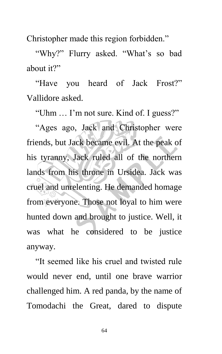Christopher made this region forbidden."

"Why?" Flurry asked. "What's so bad about it?"

"Have you heard of Jack Frost?" Vallidore asked.

"Uhm … I'm not sure. Kind of. I guess?"

"Ages ago, Jack and Christopher were friends, but Jack became evil. At the peak of his tyranny, Jack ruled all of the northern lands from his throne in Ursidea. Jack was cruel and unrelenting. He demanded homage from everyone. Those not loyal to him were hunted down and brought to justice. Well, it was what he considered to be justice anyway.

"It seemed like his cruel and twisted rule would never end, until one brave warrior challenged him. A red panda, by the name of Tomodachi the Great, dared to dispute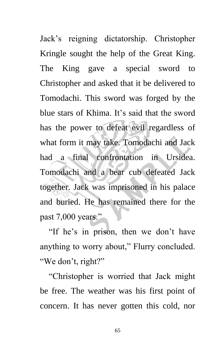Jack's reigning dictatorship. Christopher Kringle sought the help of the Great King. The King gave a special sword to Christopher and asked that it be delivered to Tomodachi. This sword was forged by the blue stars of Khima. It's said that the sword has the power to defeat evil regardless of what form it may take. Tomodachi and Jack had a final confrontation in Ursidea. Tomodachi and a bear cub defeated Jack together. Jack was imprisoned in his palace and buried. He has remained there for the past 7,000 years."

"If he's in prison, then we don't have anything to worry about," Flurry concluded. "We don't, right?"

"Christopher is worried that Jack might be free. The weather was his first point of concern. It has never gotten this cold, nor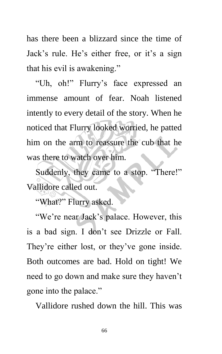has there been a blizzard since the time of Jack's rule. He's either free, or it's a sign that his evil is awakening."

"Uh, oh!" Flurry's face expressed an immense amount of fear. Noah listened intently to every detail of the story. When he noticed that Flurry looked worried, he patted him on the arm to reassure the cub that he was there to watch over him.

Suddenly, they came to a stop. "There!" Vallidore called out.

"What?" Flurry asked.

"We're near Jack's palace. However, this is a bad sign. I don't see Drizzle or Fall. They're either lost, or they've gone inside. Both outcomes are bad. Hold on tight! We need to go down and make sure they haven't gone into the palace."

Vallidore rushed down the hill. This was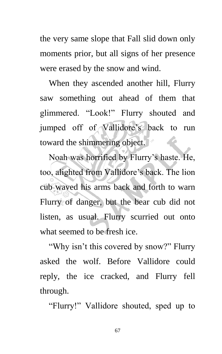the very same slope that Fall slid down only moments prior, but all signs of her presence were erased by the snow and wind.

When they ascended another hill, Flurry saw something out ahead of them that glimmered. "Look!" Flurry shouted and jumped off of Vallidore's back to run toward the shimmering object. **Alle** 

Noah was horrified by Flurry's haste. He, too, alighted from Vallidore's back. The lion cub waved his arms back and forth to warn Flurry of danger, but the bear cub did not listen, as usual. Flurry scurried out onto what seemed to be fresh ice.

"Why isn't this covered by snow?" Flurry asked the wolf. Before Vallidore could reply, the ice cracked, and Flurry fell through.

"Flurry!" Vallidore shouted, sped up to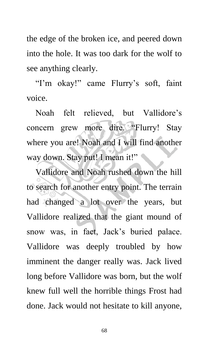the edge of the broken ice, and peered down into the hole. It was too dark for the wolf to see anything clearly.

"I'm okay!" came Flurry's soft, faint voice.

Noah felt relieved, but Vallidore's concern grew more dire. "Flurry! Stay where you are! Noah and I will find another way down. Stay put! I mean it!"

Vallidore and Noah rushed down the hill to search for another entry point. The terrain had changed a lot over the years, but Vallidore realized that the giant mound of snow was, in fact, Jack's buried palace. Vallidore was deeply troubled by how imminent the danger really was. Jack lived long before Vallidore was born, but the wolf knew full well the horrible things Frost had done. Jack would not hesitate to kill anyone,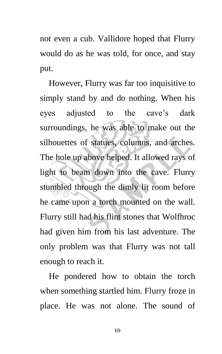not even a cub. Vallidore hoped that Flurry would do as he was told, for once, and stay put.

However, Flurry was far too inquisitive to simply stand by and do nothing. When his eyes adjusted to the cave's dark surroundings, he was able to make out the silhouettes of statues, columns, and arches. The hole up above helped. It allowed rays of light to beam down into the cave. Flurry stumbled through the dimly lit room before he came upon a torch mounted on the wall. Flurry still had his flint stones that Wolfhroc had given him from his last adventure. The only problem was that Flurry was not tall enough to reach it.

He pondered how to obtain the torch when something startled him. Flurry froze in place. He was not alone. The sound of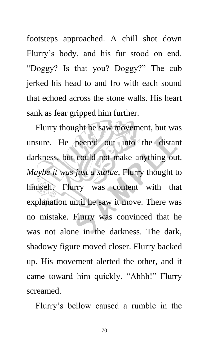footsteps approached. A chill shot down Flurry's body, and his fur stood on end. "Doggy? Is that you? Doggy?" The cub jerked his head to and fro with each sound that echoed across the stone walls. His heart sank as fear gripped him further.

Flurry thought he saw movement, but was unsure. He peered out into the distant darkness, but could not make anything out. *Maybe it was just a statue*, Flurry thought to himself. Flurry was content with that explanation until he saw it move. There was no mistake. Flurry was convinced that he was not alone in the darkness. The dark, shadowy figure moved closer. Flurry backed up. His movement alerted the other, and it came toward him quickly. "Ahhh!" Flurry screamed.

Flurry's bellow caused a rumble in the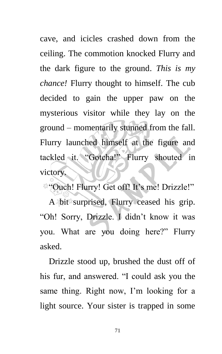cave, and icicles crashed down from the ceiling. The commotion knocked Flurry and the dark figure to the ground. *This is my chance!* Flurry thought to himself. The cub decided to gain the upper paw on the mysterious visitor while they lay on the ground – momentarily stunned from the fall. Flurry launched himself at the figure and tackled it. "Gotcha!" Flurry shouted in victory.

"Ouch! Flurry! Get off! It's me! Drizzle!"

A bit surprised, Flurry ceased his grip. "Oh! Sorry, Drizzle. I didn't know it was you. What are you doing here?" Flurry asked.

Drizzle stood up, brushed the dust off of his fur, and answered. "I could ask you the same thing. Right now, I'm looking for a light source. Your sister is trapped in some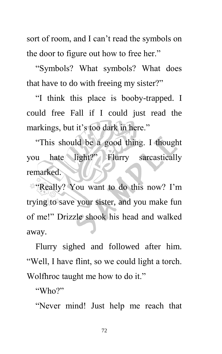sort of room, and I can't read the symbols on the door to figure out how to free her."

"Symbols? What symbols? What does that have to do with freeing my sister?"

"I think this place is booby-trapped. I could free Fall if I could just read the markings, but it's too dark in here."

"This should be a good thing. I thought you hate light?" Flurry sarcastically remarked.

"Really? You want to do this now? I'm trying to save your sister, and you make fun of me!" Drizzle shook his head and walked away.

Flurry sighed and followed after him. "Well, I have flint, so we could light a torch. Wolfhroc taught me how to do it."

"Who?"

"Never mind! Just help me reach that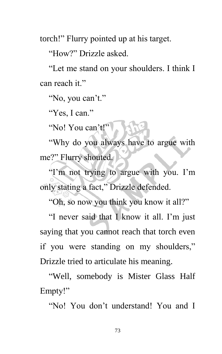torch!" Flurry pointed up at his target.

"How?" Drizzle asked.

"Let me stand on your shoulders. I think I can reach it."

"No, you can't."

"Yes, I can."

"No! You can't!"

"Why do you always have to argue with me?" Flurry shouted.

"I'm not trying to argue with you. I'm only stating a fact," Drizzle defended.

"Oh, so now you think you know it all?"

"I never said that I know it all. I'm just saying that you cannot reach that torch even if you were standing on my shoulders," Drizzle tried to articulate his meaning.

"Well, somebody is Mister Glass Half Empty!"

"No! You don't understand! You and I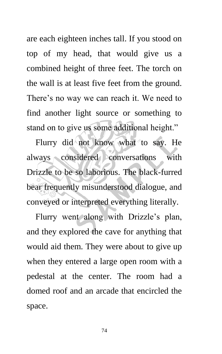are each eighteen inches tall. If you stood on top of my head, that would give us a combined height of three feet. The torch on the wall is at least five feet from the ground. There's no way we can reach it. We need to find another light source or something to stand on to give us some additional height."

Flurry did not know what to say. He always considered conversations with Drizzle to be so laborious. The black-furred bear frequently misunderstood dialogue, and conveyed or interpreted everything literally.

Flurry went along with Drizzle's plan, and they explored the cave for anything that would aid them. They were about to give up when they entered a large open room with a pedestal at the center. The room had a domed roof and an arcade that encircled the space.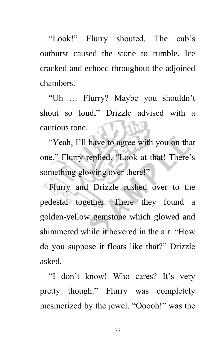"Look!" Flurry shouted. The cub's outburst caused the stone to rumble. Ice cracked and echoed throughout the adjoined chambers.

"Uh … Flurry? Maybe you shouldn't shout so loud," Drizzle advised with a cautious tone.

"Yeah, I'll have to agree with you on that one," Flurry replied. "Look at that! There's something glowing over there!"

Flurry and Drizzle rushed over to the pedestal together. There they found a golden-yellow gemstone which glowed and shimmered while it hovered in the air. "How do you suppose it floats like that?" Drizzle asked.

"I don't know! Who cares? It's very pretty though." Flurry was completely mesmerized by the jewel. "Ooooh!" was the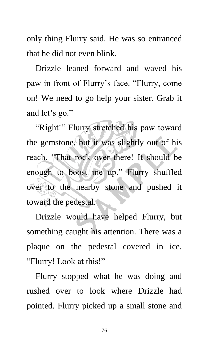only thing Flurry said. He was so entranced that he did not even blink.

Drizzle leaned forward and waved his paw in front of Flurry's face. "Flurry, come on! We need to go help your sister. Grab it and let's go."

"Right!" Flurry stretched his paw toward the gemstone, but it was slightly out of his reach. "That rock over there! It should be enough to boost me up." Flurry shuffled over to the nearby stone and pushed it toward the pedestal.

Drizzle would have helped Flurry, but something caught his attention. There was a plaque on the pedestal covered in ice. "Flurry! Look at this!"

Flurry stopped what he was doing and rushed over to look where Drizzle had pointed. Flurry picked up a small stone and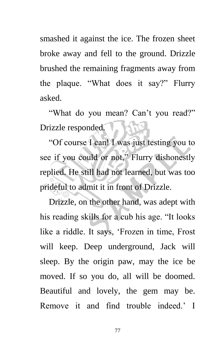smashed it against the ice. The frozen sheet broke away and fell to the ground. Drizzle brushed the remaining fragments away from the plaque. "What does it say?" Flurry asked.

"What do you mean? Can't you read?" Drizzle responded.

"Of course I can! I was just testing you to see if you could or not," Flurry dishonestly replied. He still had not learned, but was too prideful to admit it in front of Drizzle.

Drizzle, on the other hand, was adept with his reading skills for a cub his age. "It looks like a riddle. It says, 'Frozen in time, Frost will keep. Deep underground, Jack will sleep. By the origin paw, may the ice be moved. If so you do, all will be doomed. Beautiful and lovely, the gem may be. Remove it and find trouble indeed.' I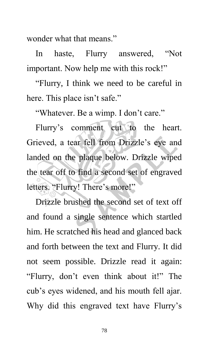wonder what that means."

In haste, Flurry answered, "Not important. Now help me with this rock!"

"Flurry, I think we need to be careful in here. This place isn't safe."

"Whatever. Be a wimp. I don't care."

Flurry's comment cut to the heart. Grieved, a tear fell from Drizzle's eye and landed on the plaque below. Drizzle wiped the tear off to find a second set of engraved letters. "Flurry! There's more!"

Drizzle brushed the second set of text off and found a single sentence which startled him. He scratched his head and glanced back and forth between the text and Flurry. It did not seem possible. Drizzle read it again: "Flurry, don't even think about it!" The cub's eyes widened, and his mouth fell ajar. Why did this engraved text have Flurry's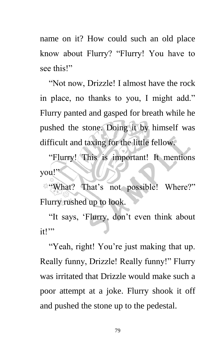name on it? How could such an old place know about Flurry? "Flurry! You have to see this!"

"Not now, Drizzle! I almost have the rock in place, no thanks to you, I might add." Flurry panted and gasped for breath while he pushed the stone. Doing it by himself was difficult and taxing for the little fellow.

"Flurry! This is important! It mentions you!"

**What?** That's not possible! Where?" Flurry rushed up to look.

"It says, 'Flurry, don't even think about it!"

"Yeah, right! You're just making that up. Really funny, Drizzle! Really funny!" Flurry was irritated that Drizzle would make such a poor attempt at a joke. Flurry shook it off and pushed the stone up to the pedestal.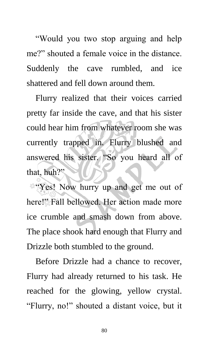"Would you two stop arguing and help me?" shouted a female voice in the distance. Suddenly the cave rumbled, and ice shattered and fell down around them.

Flurry realized that their voices carried pretty far inside the cave, and that his sister could hear him from whatever room she was currently trapped in. Flurry blushed and answered his sister. "So you heard all of that, huh?"

"Yes! Now hurry up and get me out of here!" Fall bellowed. Her action made more ice crumble and smash down from above. The place shook hard enough that Flurry and Drizzle both stumbled to the ground.

Before Drizzle had a chance to recover, Flurry had already returned to his task. He reached for the glowing, yellow crystal. "Flurry, no!" shouted a distant voice, but it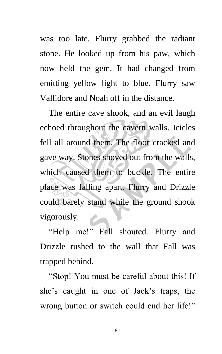was too late. Flurry grabbed the radiant stone. He looked up from his paw, which now held the gem. It had changed from emitting yellow light to blue. Flurry saw Vallidore and Noah off in the distance.

The entire cave shook, and an evil laugh echoed throughout the cavern walls. Icicles fell all around them. The floor cracked and gave way. Stones shoved out from the walls, which caused them to buckle. The entire place was falling apart. Flurry and Drizzle could barely stand while the ground shook vigorously.

"Help me!" Fall shouted. Flurry and Drizzle rushed to the wall that Fall was trapped behind.

"Stop! You must be careful about this! If she's caught in one of Jack's traps, the wrong button or switch could end her life!"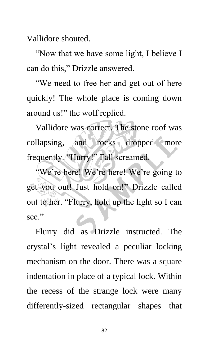Vallidore shouted.

"Now that we have some light, I believe I can do this," Drizzle answered.

"We need to free her and get out of here quickly! The whole place is coming down around us!" the wolf replied.

Vallidore was correct. The stone roof was collapsing, and rocks dropped more frequently. "Hurry!" Fall screamed.

"We're here! We're here! We're going to get you out! Just hold on!" Drizzle called out to her. "Flurry, hold up the light so I can see."

Flurry did as Drizzle instructed. The crystal's light revealed a peculiar locking mechanism on the door. There was a square indentation in place of a typical lock. Within the recess of the strange lock were many differently-sized rectangular shapes that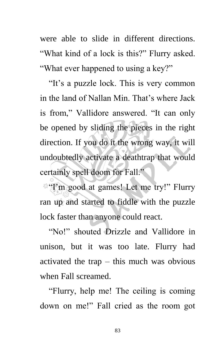were able to slide in different directions. "What kind of a lock is this?" Flurry asked. "What ever happened to using a key?"

"It's a puzzle lock. This is very common in the land of Nallan Min. That's where Jack is from," Vallidore answered. "It can only be opened by sliding the pieces in the right direction. If you do it the wrong way, it will undoubtedly activate a deathtrap that would certainly spell doom for Fall."

**"I'm good at games!** Let me try!" Flurry ran up and started to fiddle with the puzzle lock faster than anyone could react.

"No!" shouted Drizzle and Vallidore in unison, but it was too late. Flurry had activated the trap – this much was obvious when Fall screamed.

"Flurry, help me! The ceiling is coming down on me!" Fall cried as the room got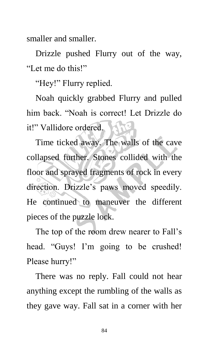smaller and smaller.

Drizzle pushed Flurry out of the way, "Let me do this!"

"Hey!" Flurry replied.

Noah quickly grabbed Flurry and pulled him back. "Noah is correct! Let Drizzle do it!" Vallidore ordered.

Time ticked away. The walls of the cave collapsed further. Stones collided with the floor and sprayed fragments of rock in every direction. Drizzle's paws moved speedily. He continued to maneuver the different pieces of the puzzle lock.

The top of the room drew nearer to Fall's head. "Guys! I'm going to be crushed! Please hurry!"

There was no reply. Fall could not hear anything except the rumbling of the walls as they gave way. Fall sat in a corner with her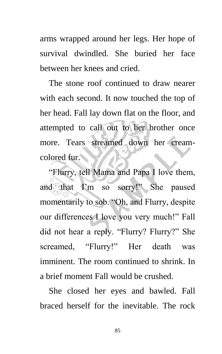arms wrapped around her legs. Her hope of survival dwindled. She buried her face between her knees and cried.

The stone roof continued to draw nearer with each second. It now touched the top of her head. Fall lay down flat on the floor, and attempted to call out to her brother once more. Tears streamed down her creamcolored fur.

"Flurry, tell Mama and Papa I love them, and that I'm so sorry!" She paused momentarily to sob. "Oh, and Flurry, despite our differences I love you very much!" Fall did not hear a reply. "Flurry? Flurry?" She screamed, "Flurry!" Her death was imminent. The room continued to shrink. In a brief moment Fall would be crushed.

She closed her eyes and bawled. Fall braced herself for the inevitable. The rock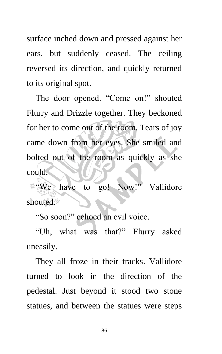surface inched down and pressed against her ears, but suddenly ceased. The ceiling reversed its direction, and quickly returned to its original spot.

The door opened. "Come on!" shouted Flurry and Drizzle together. They beckoned for her to come out of the room. Tears of joy came down from her eyes. She smiled and bolted out of the room as quickly as she could.

We have to go! Now!" Vallidore shouted.<sup>\*</sup>

"So soon?" echoed an evil voice.

"Uh, what was that?" Flurry asked uneasily.

They all froze in their tracks. Vallidore turned to look in the direction of the pedestal. Just beyond it stood two stone statues, and between the statues were steps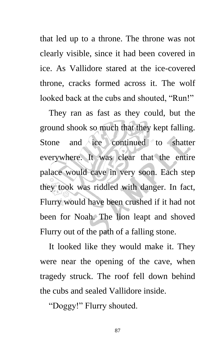that led up to a throne. The throne was not clearly visible, since it had been covered in ice. As Vallidore stared at the ice-covered throne, cracks formed across it. The wolf looked back at the cubs and shouted, "Run!"

They ran as fast as they could, but the ground shook so much that they kept falling. Stone and ice continued to shatter everywhere. It was clear that the entire palace would cave in very soon. Each step they took was riddled with danger. In fact, Flurry would have been crushed if it had not been for Noah. The lion leapt and shoved Flurry out of the path of a falling stone.

It looked like they would make it. They were near the opening of the cave, when tragedy struck. The roof fell down behind the cubs and sealed Vallidore inside.

"Doggy!" Flurry shouted.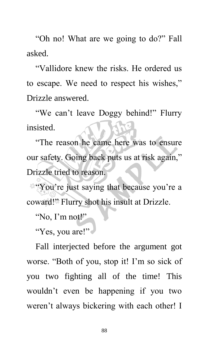"Oh no! What are we going to do?" Fall asked.

"Vallidore knew the risks. He ordered us to escape. We need to respect his wishes," Drizzle answered.

"We can't leave Doggy behind!" Flurry insisted.

"The reason he came here was to ensure our safety. Going back puts us at risk again," Drizzle tried to reason.

"You're just saying that because you're a coward!" Flurry shot his insult at Drizzle.

"No, I'm not!"

"Yes, you are!"

Fall interjected before the argument got worse. "Both of you, stop it! I'm so sick of you two fighting all of the time! This wouldn't even be happening if you two weren't always bickering with each other! I